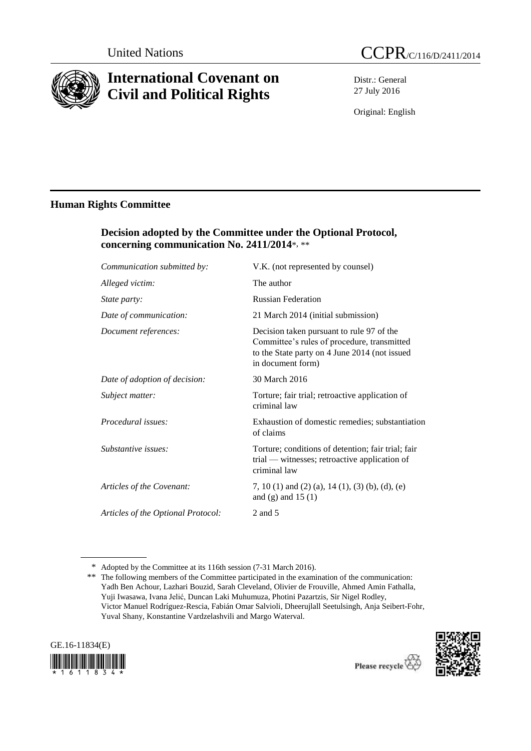

# **International Covenant on Civil and Political Rights**

Distr.: General 27 July 2016

Original: English

# **Human Rights Committee**

## **Decision adopted by the Committee under the Optional Protocol, concerning communication No. 2411/2014**\*, \*\*

| Communication submitted by:        | V.K. (not represented by counsel)                                                                                                                              |
|------------------------------------|----------------------------------------------------------------------------------------------------------------------------------------------------------------|
| Alleged victim:                    | The author                                                                                                                                                     |
| <i>State party:</i>                | <b>Russian Federation</b>                                                                                                                                      |
| Date of communication:             | 21 March 2014 (initial submission)                                                                                                                             |
| Document references:               | Decision taken pursuant to rule 97 of the<br>Committee's rules of procedure, transmitted<br>to the State party on 4 June 2014 (not issued<br>in document form) |
| Date of adoption of decision:      | 30 March 2016                                                                                                                                                  |
| Subject matter:                    | Torture; fair trial; retroactive application of<br>criminal law                                                                                                |
| Procedural issues:                 | Exhaustion of domestic remedies; substantiation<br>of claims                                                                                                   |
| Substantive issues:                | Torture; conditions of detention; fair trial; fair<br>trial — witnesses; retroactive application of<br>criminal law                                            |
| Articles of the Covenant:          | 7, 10 (1) and (2) (a), 14 (1), (3) (b), (d), (e)<br>and $(g)$ and 15 $(1)$                                                                                     |
| Articles of the Optional Protocol: | 2 and 5                                                                                                                                                        |
|                                    |                                                                                                                                                                |

<sup>\*\*</sup> The following members of the Committee participated in the examination of the communication: Yadh Ben Achour, Lazhari Bouzid, Sarah Cleveland, Olivier de Frouville, Ahmed Amin Fathalla, Yuji Iwasawa, Ivana Jelić, Duncan Laki Muhumuza, Photini Pazartzis, Sir Nigel Rodley, Victor Manuel Rodríguez-Rescia, Fabián Omar Salvioli, Dheerujlall Seetulsingh, Anja Seibert-Fohr, Yuval Shany, Konstantine Vardzelashvili and Margo Waterval.





<sup>\*</sup> Adopted by the Committee at its 116th session (7-31 March 2016).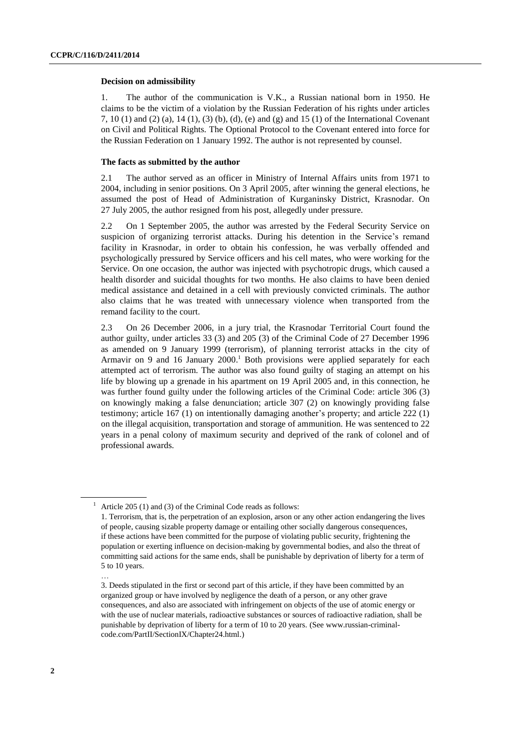## **Decision on admissibility**

1. The author of the communication is V.K., a Russian national born in 1950. He claims to be the victim of a violation by the Russian Federation of his rights under articles 7, 10 (1) and (2) (a), 14 (1), (3) (b), (d), (e) and (g) and 15 (1) of the International Covenant on Civil and Political Rights. The Optional Protocol to the Covenant entered into force for the Russian Federation on 1 January 1992. The author is not represented by counsel.

## **The facts as submitted by the author**

2.1 The author served as an officer in Ministry of Internal Affairs units from 1971 to 2004, including in senior positions. On 3 April 2005, after winning the general elections, he assumed the post of Head of Administration of Kurganinsky District, Krasnodar. On 27 July 2005, the author resigned from his post, allegedly under pressure.

2.2 On 1 September 2005, the author was arrested by the Federal Security Service on suspicion of organizing terrorist attacks. During his detention in the Service's remand facility in Krasnodar, in order to obtain his confession, he was verbally offended and psychologically pressured by Service officers and his cell mates, who were working for the Service. On one occasion, the author was injected with psychotropic drugs, which caused a health disorder and suicidal thoughts for two months. He also claims to have been denied medical assistance and detained in a cell with previously convicted criminals. The author also claims that he was treated with unnecessary violence when transported from the remand facility to the court.

2.3 On 26 December 2006, in a jury trial, the Krasnodar Territorial Court found the author guilty, under articles 33 (3) and 205 (3) of the Criminal Code of 27 December 1996 as amended on 9 January 1999 (terrorism), of planning terrorist attacks in the city of Armavir on 9 and 16 January 2000. <sup>1</sup> Both provisions were applied separately for each attempted act of terrorism. The author was also found guilty of staging an attempt on his life by blowing up a grenade in his apartment on 19 April 2005 and, in this connection, he was further found guilty under the following articles of the Criminal Code: article 306 (3) on knowingly making a false denunciation; article 307 (2) on knowingly providing false testimony; article 167 (1) on intentionally damaging another's property; and article 222 (1) on the illegal acquisition, transportation and storage of ammunition. He was sentenced to 22 years in a penal colony of maximum security and deprived of the rank of colonel and of professional awards.

…

<sup>&</sup>lt;sup>1</sup> Article 205 (1) and (3) of the Criminal Code reads as follows:

<sup>1.</sup> Terrorism, that is, the perpetration of an explosion, arson or any other action endangering the lives of people, causing sizable property damage or entailing other socially dangerous consequences, if these actions have been committed for the purpose of violating public security, frightening the population or exerting influence on decision-making by governmental bodies, and also the threat of committing said actions for the same ends, shall be punishable by deprivation of liberty for a term of 5 to 10 years.

<sup>3.</sup> Deeds stipulated in the first or second part of this article, if they have been committed by an organized group or have involved by negligence the death of a person, or any other grave consequences, and also are associated with infringement on objects of the use of atomic energy or with the use of nuclear materials, radioactive substances or sources of radioactive radiation, shall be punishable by deprivation of liberty for a term of 10 to 20 years. [\(See www.russian-criminal](file:///C:/Users/Maio/AppData/Local/Temp/notes644D56/(See%20www.russian-criminal-code.com/PartII/SectionIX/Chapter24.html)[code.com/PartII/SectionIX/Chapter24.html.](file:///C:/Users/Maio/AppData/Local/Temp/notes644D56/(See%20www.russian-criminal-code.com/PartII/SectionIX/Chapter24.html))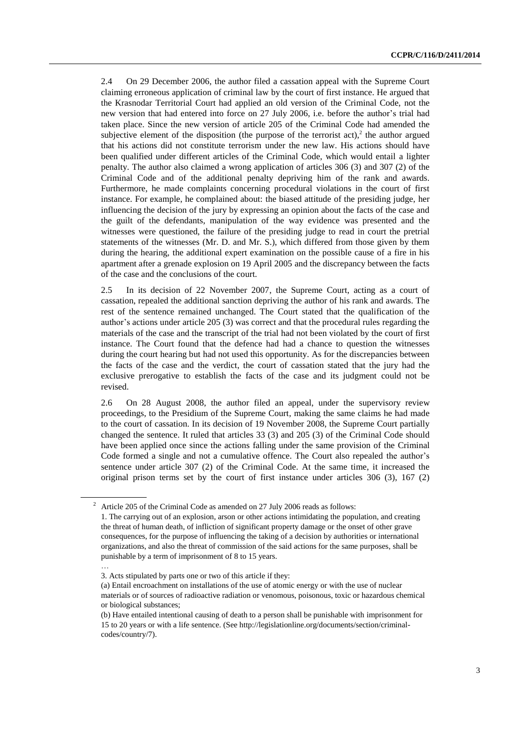2.4 On 29 December 2006, the author filed a cassation appeal with the Supreme Court claiming erroneous application of criminal law by the court of first instance. He argued that the Krasnodar Territorial Court had applied an old version of the Criminal Code, not the new version that had entered into force on 27 July 2006, i.e. before the author's trial had taken place. Since the new version of article 205 of the Criminal Code had amended the subjective element of the disposition (the purpose of the terrorist act),<sup>2</sup> the author argued that his actions did not constitute terrorism under the new law. His actions should have been qualified under different articles of the Criminal Code, which would entail a lighter penalty. The author also claimed a wrong application of articles 306 (3) and 307 (2) of the Criminal Code and of the additional penalty depriving him of the rank and awards. Furthermore, he made complaints concerning procedural violations in the court of first instance. For example, he complained about: the biased attitude of the presiding judge, her influencing the decision of the jury by expressing an opinion about the facts of the case and the guilt of the defendants, manipulation of the way evidence was presented and the witnesses were questioned, the failure of the presiding judge to read in court the pretrial statements of the witnesses (Mr. D. and Mr. S.), which differed from those given by them during the hearing, the additional expert examination on the possible cause of a fire in his apartment after a grenade explosion on 19 April 2005 and the discrepancy between the facts of the case and the conclusions of the court.

2.5 In its decision of 22 November 2007, the Supreme Court, acting as a court of cassation, repealed the additional sanction depriving the author of his rank and awards. The rest of the sentence remained unchanged. The Court stated that the qualification of the author's actions under article 205 (3) was correct and that the procedural rules regarding the materials of the case and the transcript of the trial had not been violated by the court of first instance. The Court found that the defence had had a chance to question the witnesses during the court hearing but had not used this opportunity. As for the discrepancies between the facts of the case and the verdict, the court of cassation stated that the jury had the exclusive prerogative to establish the facts of the case and its judgment could not be revised.

2.6 On 28 August 2008, the author filed an appeal, under the supervisory review proceedings, to the Presidium of the Supreme Court, making the same claims he had made to the court of cassation. In its decision of 19 November 2008, the Supreme Court partially changed the sentence. It ruled that articles 33 (3) and 205 (3) of the Criminal Code should have been applied once since the actions falling under the same provision of the Criminal Code formed a single and not a cumulative offence. The Court also repealed the author's sentence under article 307 (2) of the Criminal Code. At the same time, it increased the original prison terms set by the court of first instance under articles 306 (3), 167 (2)

…

<sup>2</sup> Article 205 of the Criminal Code as amended on 27 July 2006 reads as follows:

<sup>1.</sup> The carrying out of an explosion, arson or other actions intimidating the population, and creating the threat of human death, of infliction of significant property damage or the onset of other grave consequences, for the purpose of influencing the taking of a decision by authorities or international organizations, and also the threat of commission of the said actions for the same purposes, shall be punishable by a term of imprisonment of 8 to 15 years.

<sup>3.</sup> Acts stipulated by parts one or two of this article if they:

<sup>(</sup>a) Entail encroachment on installations of the use of atomic energy or with the use of nuclear materials or of sources of radioactive radiation or venomous, poisonous, toxic or hazardous chemical or biological substances;

<sup>(</sup>b) Have entailed intentional causing of death to a person shall be punishable with imprisonment for 15 to 20 years or with a life sentence. (Se[e http://legislationline.org/documents/section/criminal](http://legislationline.org/documents/section/criminal-codes/country/7)[codes/country/7\)](http://legislationline.org/documents/section/criminal-codes/country/7).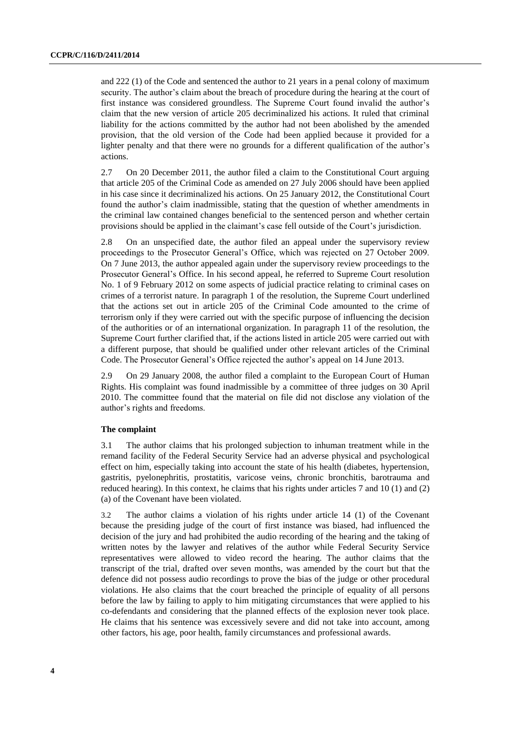and 222 (1) of the Code and sentenced the author to 21 years in a penal colony of maximum security. The author's claim about the breach of procedure during the hearing at the court of first instance was considered groundless. The Supreme Court found invalid the author's claim that the new version of article 205 decriminalized his actions. It ruled that criminal liability for the actions committed by the author had not been abolished by the amended provision, that the old version of the Code had been applied because it provided for a lighter penalty and that there were no grounds for a different qualification of the author's actions.

2.7 On 20 December 2011, the author filed a claim to the Constitutional Court arguing that article 205 of the Criminal Code as amended on 27 July 2006 should have been applied in his case since it decriminalized his actions. On 25 January 2012, the Constitutional Court found the author's claim inadmissible, stating that the question of whether amendments in the criminal law contained changes beneficial to the sentenced person and whether certain provisions should be applied in the claimant's case fell outside of the Court's jurisdiction.

2.8 On an unspecified date, the author filed an appeal under the supervisory review proceedings to the Prosecutor General's Office, which was rejected on 27 October 2009. On 7 June 2013, the author appealed again under the supervisory review proceedings to the Prosecutor General's Office. In his second appeal, he referred to Supreme Court resolution No. 1 of 9 February 2012 on some aspects of judicial practice relating to criminal cases on crimes of a terrorist nature. In paragraph 1 of the resolution, the Supreme Court underlined that the actions set out in article 205 of the Criminal Code amounted to the crime of terrorism only if they were carried out with the specific purpose of influencing the decision of the authorities or of an international organization. In paragraph 11 of the resolution, the Supreme Court further clarified that, if the actions listed in article 205 were carried out with a different purpose, that should be qualified under other relevant articles of the Criminal Code. The Prosecutor General's Office rejected the author's appeal on 14 June 2013.

2.9 On 29 January 2008, the author filed a complaint to the European Court of Human Rights. His complaint was found inadmissible by a committee of three judges on 30 April 2010. The committee found that the material on file did not disclose any violation of the author's rights and freedoms.

## **The complaint**

3.1 The author claims that his prolonged subjection to inhuman treatment while in the remand facility of the Federal Security Service had an adverse physical and psychological effect on him, especially taking into account the state of his health (diabetes, hypertension, gastritis, pyelonephritis, prostatitis, varicose veins, chronic bronchitis, barotrauma and reduced hearing). In this context, he claims that his rights under articles 7 and 10 (1) and (2) (a) of the Covenant have been violated.

3.2 The author claims a violation of his rights under article 14 (1) of the Covenant because the presiding judge of the court of first instance was biased, had influenced the decision of the jury and had prohibited the audio recording of the hearing and the taking of written notes by the lawyer and relatives of the author while Federal Security Service representatives were allowed to video record the hearing. The author claims that the transcript of the trial, drafted over seven months, was amended by the court but that the defence did not possess audio recordings to prove the bias of the judge or other procedural violations. He also claims that the court breached the principle of equality of all persons before the law by failing to apply to him mitigating circumstances that were applied to his co-defendants and considering that the planned effects of the explosion never took place. He claims that his sentence was excessively severe and did not take into account, among other factors, his age, poor health, family circumstances and professional awards.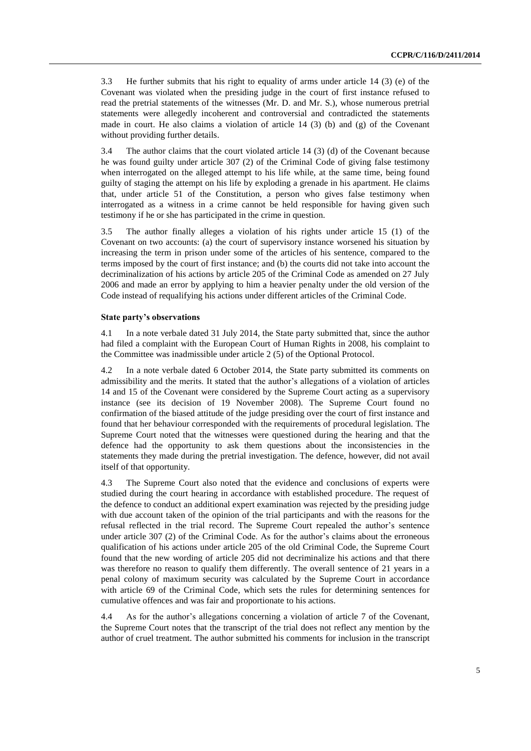3.3 He further submits that his right to equality of arms under article 14 (3) (e) of the Covenant was violated when the presiding judge in the court of first instance refused to read the pretrial statements of the witnesses (Mr. D. and Mr. S.), whose numerous pretrial statements were allegedly incoherent and controversial and contradicted the statements made in court. He also claims a violation of article  $14$  (3) (b) and (g) of the Covenant without providing further details.

3.4 The author claims that the court violated article 14 (3) (d) of the Covenant because he was found guilty under article 307 (2) of the Criminal Code of giving false testimony when interrogated on the alleged attempt to his life while, at the same time, being found guilty of staging the attempt on his life by exploding a grenade in his apartment. He claims that, under article 51 of the Constitution, a person who gives false testimony when interrogated as a witness in a crime cannot be held responsible for having given such testimony if he or she has participated in the crime in question.

3.5 The author finally alleges a violation of his rights under article 15 (1) of the Covenant on two accounts: (a) the court of supervisory instance worsened his situation by increasing the term in prison under some of the articles of his sentence, compared to the terms imposed by the court of first instance; and (b) the courts did not take into account the decriminalization of his actions by article 205 of the Criminal Code as amended on 27 July 2006 and made an error by applying to him a heavier penalty under the old version of the Code instead of requalifying his actions under different articles of the Criminal Code.

## **State party's observations**

4.1 In a note verbale dated 31 July 2014, the State party submitted that, since the author had filed a complaint with the European Court of Human Rights in 2008, his complaint to the Committee was inadmissible under article 2 (5) of the Optional Protocol.

4.2 In a note verbale dated 6 October 2014, the State party submitted its comments on admissibility and the merits. It stated that the author's allegations of a violation of articles 14 and 15 of the Covenant were considered by the Supreme Court acting as a supervisory instance (see its decision of 19 November 2008). The Supreme Court found no confirmation of the biased attitude of the judge presiding over the court of first instance and found that her behaviour corresponded with the requirements of procedural legislation. The Supreme Court noted that the witnesses were questioned during the hearing and that the defence had the opportunity to ask them questions about the inconsistencies in the statements they made during the pretrial investigation. The defence, however, did not avail itself of that opportunity.

4.3 The Supreme Court also noted that the evidence and conclusions of experts were studied during the court hearing in accordance with established procedure. The request of the defence to conduct an additional expert examination was rejected by the presiding judge with due account taken of the opinion of the trial participants and with the reasons for the refusal reflected in the trial record. The Supreme Court repealed the author's sentence under article 307 (2) of the Criminal Code. As for the author's claims about the erroneous qualification of his actions under article 205 of the old Criminal Code, the Supreme Court found that the new wording of article 205 did not decriminalize his actions and that there was therefore no reason to qualify them differently. The overall sentence of 21 years in a penal colony of maximum security was calculated by the Supreme Court in accordance with article 69 of the Criminal Code, which sets the rules for determining sentences for cumulative offences and was fair and proportionate to his actions.

4.4 As for the author's allegations concerning a violation of article 7 of the Covenant, the Supreme Court notes that the transcript of the trial does not reflect any mention by the author of cruel treatment. The author submitted his comments for inclusion in the transcript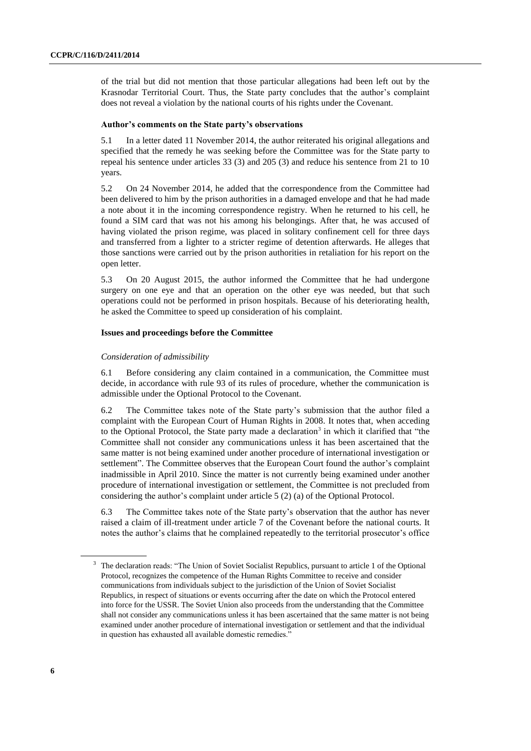of the trial but did not mention that those particular allegations had been left out by the Krasnodar Territorial Court. Thus, the State party concludes that the author's complaint does not reveal a violation by the national courts of his rights under the Covenant.

## **Author's comments on the State party's observations**

5.1 In a letter dated 11 November 2014, the author reiterated his original allegations and specified that the remedy he was seeking before the Committee was for the State party to repeal his sentence under articles 33 (3) and 205 (3) and reduce his sentence from 21 to 10 years.

5.2 On 24 November 2014, he added that the correspondence from the Committee had been delivered to him by the prison authorities in a damaged envelope and that he had made a note about it in the incoming correspondence registry. When he returned to his cell, he found a SIM card that was not his among his belongings. After that, he was accused of having violated the prison regime, was placed in solitary confinement cell for three days and transferred from a lighter to a stricter regime of detention afterwards. He alleges that those sanctions were carried out by the prison authorities in retaliation for his report on the open letter.

5.3 On 20 August 2015, the author informed the Committee that he had undergone surgery on one eye and that an operation on the other eye was needed, but that such operations could not be performed in prison hospitals. Because of his deteriorating health, he asked the Committee to speed up consideration of his complaint.

## **Issues and proceedings before the Committee**

## *Consideration of admissibility*

6.1 Before considering any claim contained in a communication, the Committee must decide, in accordance with rule 93 of its rules of procedure, whether the communication is admissible under the Optional Protocol to the Covenant.

6.2 The Committee takes note of the State party's submission that the author filed a complaint with the European Court of Human Rights in 2008. It notes that, when acceding to the Optional Protocol, the State party made a declaration<sup>3</sup> in which it clarified that "the Committee shall not consider any communications unless it has been ascertained that the same matter is not being examined under another procedure of international investigation or settlement". The Committee observes that the European Court found the author's complaint inadmissible in April 2010. Since the matter is not currently being examined under another procedure of international investigation or settlement, the Committee is not precluded from considering the author's complaint under article 5 (2) (a) of the Optional Protocol.

6.3 The Committee takes note of the State party's observation that the author has never raised a claim of ill-treatment under article 7 of the Covenant before the national courts. It notes the author's claims that he complained repeatedly to the territorial prosecutor's office

<sup>&</sup>lt;sup>3</sup> The declaration reads: "The Union of Soviet Socialist Republics, pursuant to article 1 of the Optional Protocol, recognizes the competence of the Human Rights Committee to receive and consider communications from individuals subject to the jurisdiction of the Union of Soviet Socialist Republics, in respect of situations or events occurring after the date on which the Protocol entered into force for the USSR. The Soviet Union also proceeds from the understanding that the Committee shall not consider any communications unless it has been ascertained that the same matter is not being examined under another procedure of international investigation or settlement and that the individual in question has exhausted all available domestic remedies."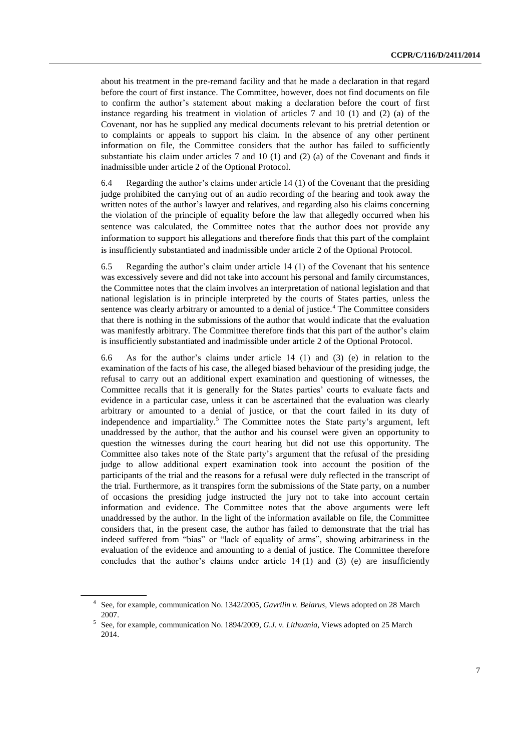about his treatment in the pre-remand facility and that he made a declaration in that regard before the court of first instance. The Committee, however, does not find documents on file to confirm the author's statement about making a declaration before the court of first instance regarding his treatment in violation of articles 7 and 10 (1) and (2) (a) of the Covenant, nor has he supplied any medical documents relevant to his pretrial detention or to complaints or appeals to support his claim. In the absence of any other pertinent information on file, the Committee considers that the author has failed to sufficiently substantiate his claim under articles 7 and 10 (1) and (2) (a) of the Covenant and finds it inadmissible under article 2 of the Optional Protocol.

6.4 Regarding the author's claims under article 14 (1) of the Covenant that the presiding judge prohibited the carrying out of an audio recording of the hearing and took away the written notes of the author's lawyer and relatives, and regarding also his claims concerning the violation of the principle of equality before the law that allegedly occurred when his sentence was calculated, the Committee notes that the author does not provide any information to support his allegations and therefore finds that this part of the complaint is insufficiently substantiated and inadmissible under article 2 of the Optional Protocol.

6.5 Regarding the author's claim under article 14 (1) of the Covenant that his sentence was excessively severe and did not take into account his personal and family circumstances, the Committee notes that the claim involves an interpretation of national legislation and that national legislation is in principle interpreted by the courts of States parties, unless the sentence was clearly arbitrary or amounted to a denial of justice.<sup>4</sup> The Committee considers that there is nothing in the submissions of the author that would indicate that the evaluation was manifestly arbitrary. The Committee therefore finds that this part of the author's claim is insufficiently substantiated and inadmissible under article 2 of the Optional Protocol.

6.6 As for the author's claims under article 14 (1) and (3) (e) in relation to the examination of the facts of his case, the alleged biased behaviour of the presiding judge, the refusal to carry out an additional expert examination and questioning of witnesses, the Committee recalls that it is generally for the States parties' courts to evaluate facts and evidence in a particular case, unless it can be ascertained that the evaluation was clearly arbitrary or amounted to a denial of justice, or that the court failed in its duty of independence and impartiality.<sup>5</sup> The Committee notes the State party's argument, left unaddressed by the author, that the author and his counsel were given an opportunity to question the witnesses during the court hearing but did not use this opportunity. The Committee also takes note of the State party's argument that the refusal of the presiding judge to allow additional expert examination took into account the position of the participants of the trial and the reasons for a refusal were duly reflected in the transcript of the trial. Furthermore, as it transpires form the submissions of the State party, on a number of occasions the presiding judge instructed the jury not to take into account certain information and evidence. The Committee notes that the above arguments were left unaddressed by the author. In the light of the information available on file, the Committee considers that, in the present case, the author has failed to demonstrate that the trial has indeed suffered from "bias" or "lack of equality of arms", showing arbitrariness in the evaluation of the evidence and amounting to a denial of justice. The Committee therefore concludes that the author's claims under article 14 (1) and (3) (e) are insufficiently

<sup>4</sup> See, for example, communication No. 1342/2005, *Gavrilin v. Belarus,* Views adopted on 28 March 2007.

<sup>5</sup> See, for example, communication No. 1894/2009, *G.J. v. Lithuania*, Views adopted on 25 March 2014.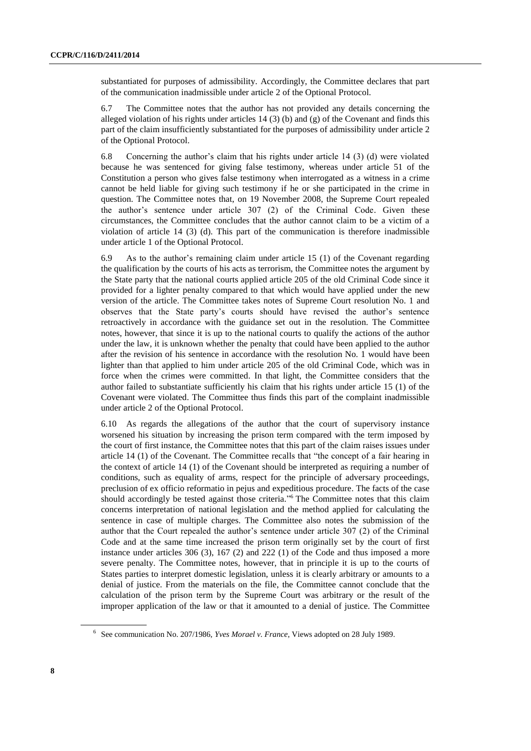substantiated for purposes of admissibility. Accordingly, the Committee declares that part of the communication inadmissible under article 2 of the Optional Protocol.

6.7 The Committee notes that the author has not provided any details concerning the alleged violation of his rights under articles  $14$  (3) (b) and (g) of the Covenant and finds this part of the claim insufficiently substantiated for the purposes of admissibility under article 2 of the Optional Protocol.

6.8 Concerning the author's claim that his rights under article 14 (3) (d) were violated because he was sentenced for giving false testimony, whereas under article 51 of the Constitution a person who gives false testimony when interrogated as a witness in a crime cannot be held liable for giving such testimony if he or she participated in the crime in question. The Committee notes that, on 19 November 2008, the Supreme Court repealed the author's sentence under article 307 (2) of the Criminal Code. Given these circumstances, the Committee concludes that the author cannot claim to be a victim of a violation of article 14 (3) (d). This part of the communication is therefore inadmissible under article 1 of the Optional Protocol.

6.9 As to the author's remaining claim under article 15 (1) of the Covenant regarding the qualification by the courts of his acts as terrorism, the Committee notes the argument by the State party that the national courts applied article 205 of the old Criminal Code since it provided for a lighter penalty compared to that which would have applied under the new version of the article. The Committee takes notes of Supreme Court resolution No. 1 and observes that the State party's courts should have revised the author's sentence retroactively in accordance with the guidance set out in the resolution. The Committee notes, however, that since it is up to the national courts to qualify the actions of the author under the law, it is unknown whether the penalty that could have been applied to the author after the revision of his sentence in accordance with the resolution No. 1 would have been lighter than that applied to him under article 205 of the old Criminal Code, which was in force when the crimes were committed. In that light, the Committee considers that the author failed to substantiate sufficiently his claim that his rights under article 15 (1) of the Covenant were violated. The Committee thus finds this part of the complaint inadmissible under article 2 of the Optional Protocol.

6.10 As regards the allegations of the author that the court of supervisory instance worsened his situation by increasing the prison term compared with the term imposed by the court of first instance, the Committee notes that this part of the claim raises issues under article 14 (1) of the Covenant. The Committee recalls that "the concept of a fair hearing in the context of article 14 (1) of the Covenant should be interpreted as requiring a number of conditions, such as equality of arms, respect for the principle of adversary proceedings, preclusion of ex officio reformatio in pejus and expeditious procedure. The facts of the case should accordingly be tested against those criteria." <sup>6</sup> [T](http://www1.umn.edu/humanrts/undocs/session44/207-1986.htm#*)he Committee notes that this claim concerns interpretation of national legislation and the method applied for calculating the sentence in case of multiple charges. The Committee also notes the submission of the author that the Court repealed the author's sentence under article 307 (2) of the Criminal Code and at the same time increased the prison term originally set by the court of first instance under articles 306 (3), 167 (2) and 222 (1) of the Code and thus imposed a more severe penalty. The Committee notes, however, that in principle it is up to the courts of States parties to interpret domestic legislation, unless it is clearly arbitrary or amounts to a denial of justice. From the materials on the file, the Committee cannot conclude that the calculation of the prison term by the Supreme Court was arbitrary or the result of the improper application of the law or that it amounted to a denial of justice. The Committee

<sup>6</sup> See communication No. 207/1986, *Yves Morael v. France*, Views adopted on 28 July 1989.